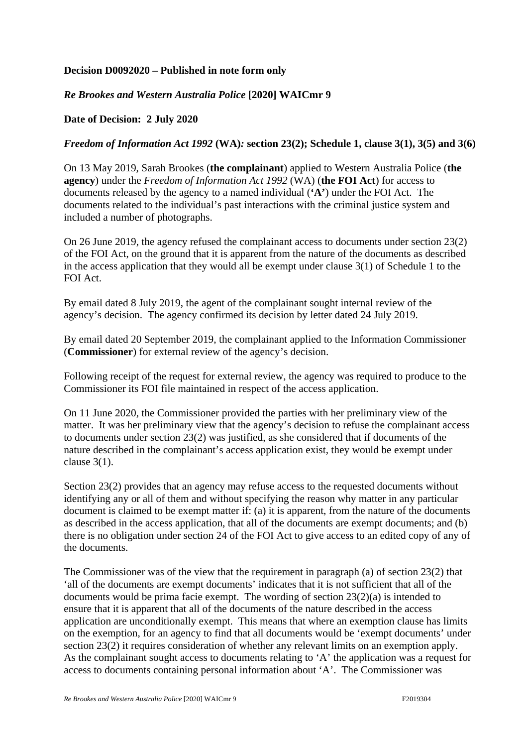## **Decision D0092020 – Published in note form only**

## *Re Brookes and Western Australia Police* **[2020] WAICmr 9**

## **Date of Decision: 2 July 2020**

## *Freedom of Information Act 1992* **(WA)***:* **section 23(2); Schedule 1, clause 3(1), 3(5) and 3(6)**

On 13 May 2019, Sarah Brookes (**the complainant**) applied to Western Australia Police (**the agency**) under the *Freedom of Information Act 1992* (WA) (**the FOI Act**) for access to documents released by the agency to a named individual (**'A'**) under the FOI Act. The documents related to the individual's past interactions with the criminal justice system and included a number of photographs.

On 26 June 2019, the agency refused the complainant access to documents under section 23(2) of the FOI Act, on the ground that it is apparent from the nature of the documents as described in the access application that they would all be exempt under clause  $3(1)$  of Schedule 1 to the FOI Act.

By email dated 8 July 2019, the agent of the complainant sought internal review of the agency's decision. The agency confirmed its decision by letter dated 24 July 2019.

By email dated 20 September 2019, the complainant applied to the Information Commissioner (**Commissioner**) for external review of the agency's decision.

Following receipt of the request for external review, the agency was required to produce to the Commissioner its FOI file maintained in respect of the access application.

On 11 June 2020, the Commissioner provided the parties with her preliminary view of the matter. It was her preliminary view that the agency's decision to refuse the complainant access to documents under section 23(2) was justified, as she considered that if documents of the nature described in the complainant's access application exist, they would be exempt under clause 3(1).

Section 23(2) provides that an agency may refuse access to the requested documents without identifying any or all of them and without specifying the reason why matter in any particular document is claimed to be exempt matter if: (a) it is apparent, from the nature of the documents as described in the access application, that all of the documents are exempt documents; and (b) there is no obligation under section 24 of the FOI Act to give access to an edited copy of any of the documents.

The Commissioner was of the view that the requirement in paragraph (a) of section 23(2) that 'all of the documents are exempt documents' indicates that it is not sufficient that all of the documents would be prima facie exempt. The wording of section 23(2)(a) is intended to ensure that it is apparent that all of the documents of the nature described in the access application are unconditionally exempt. This means that where an exemption clause has limits on the exemption, for an agency to find that all documents would be 'exempt documents' under section 23(2) it requires consideration of whether any relevant limits on an exemption apply. As the complainant sought access to documents relating to 'A' the application was a request for access to documents containing personal information about 'A'. The Commissioner was